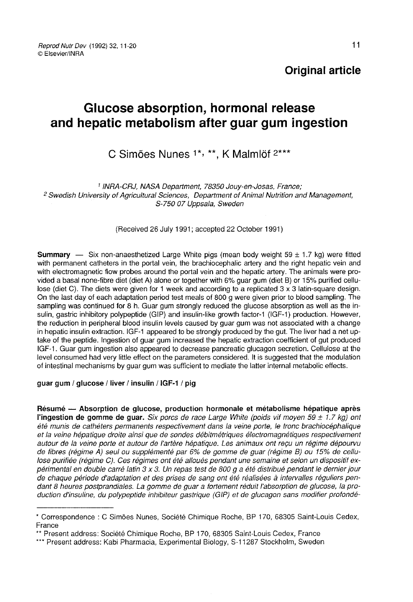Reprod Nutr Dev (1992) 32, 11-20 © Fisevier/INRA

Original article

# Glucose absorption, hormonal release and hepatic metabolism after guar gum ingestion

# C Simões Nunes 1\*, \*\*, K Malmlöf 2\*\*\*

1 INRA-CRJ, NASA Department, 78350 Jouy-en-Josas, France;<br>2 Swedish University of Agricultural Sciences, Department of Animal Nutrition and Management, S-750 07 Uppsala, Sweden

#### (Received 26 July 1991; accepted 22 October 1991)

**Summary** — Six non-anaesthetized Large White pigs (mean body weight 59  $\pm$  1.7 kg) were fitted with permanent catheters in the portal vein, the brachiocephalic artery and the right hepatic vein and with electromagnetic flow probes around the portal vein and the hepatic artery. The animals were provided a basal none-fibre diet (diet A) alone or together with 6% guar gum (diet B) or 15% purified cellulose (diet C). The diets were given for 1 week and according to a replicated 3 x 3 latin-square design. On the last day of each adaptation period test meals of 800 g were given prior to blood sampling. The sampling was continued for 8 h. Guar gum strongly reduced the glucose absorption as well as the insulin, gastric inhibitory polypeptide (GIP) and insulin-like growth factor-1 (IGF-1) production. However, the reduction in peripheral blood insulin levels caused by guar gum was not associated with a change in hepatic insulin extraction. IGF-1 appeared to be strongly produced by the gut. The liver had a net uptake of the peptide. Ingestion of guar gum increased the hepatic extraction coefficient of gut produced IGF-1. Guar gum ingestion also appeared to decrease pancreatic glucagon secretion. Cellulose at the level consumed had very little effect on the parameters considered. It is suggested that the modulation of intestinal mechanisms by guar gum was sufficient to mediate the latter internal metabolic effects.

#### guar gum / glucose / liver / insulin / IGF-1 / pig

Résumé ― Absorption de glucose, production hormonale et métabolisme hépatique après l'ingestion de gomme de quar. Six porcs de race Large White (poids vif moyen 59  $\pm$  1.7 kg) ont été munis de cathéters permanents respectivement dans la veine porte, le tronc brachiocéphalique et la veine hépatique droite ainsi que de sondes débitmétriques électromagnétiques respectivement autour de la veine porte et autour de l'artère hépatique. Les animaux ont reçu un régime dépourvu de fibres (régime A) seul ou supplémenté par 6% de gomme de guar (régime B) ou 15% de cellulose purifiée (régime C). Ces régimes ont été alloués pendant une semaine et selon un dispositif expérimental en double carré latin 3 x 3. Un repas test de 800 g a été distribué pendant le dernier jour de chaque période d'adaptation et des prises de sang ont été réalisées à intervalles réguliers pendant 8 heures postprandiales. La gomme de guar a fortement réduit l'absorption de glucose, la production d'insuline, du polypeptide inhibiteur gastrique (GIP) et de glucagon sans modifier profondé-

<sup>\*</sup> Correspondence : C Simôes Nunes, Société Chimique Roche, BP 170, 68305 Saint-Louis Cedex, France

<sup>\*\*</sup> Present address: Société Chimique Roche, BP 170, 68305 Saint-Louis Cedex, France

<sup>\*\*\*</sup> Present address: Kabi Pharmacia, Experimental Biology, S-11287 Stockholm, Sweden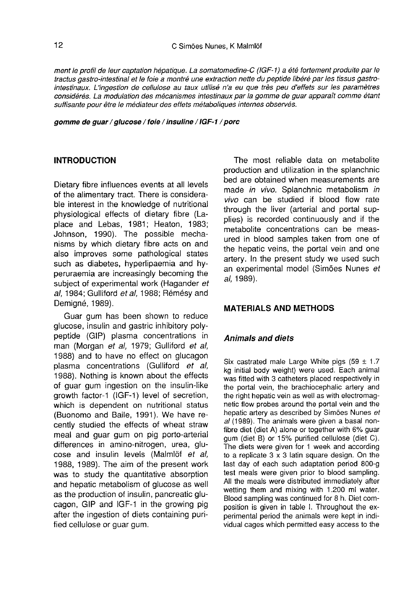ment le profil de leur captation hépatique. La somatomedine-C (IGF-1) a été fortement produite par le tractus gastro-intestinal et le foie a montré une extraction nette du peptide libéré par les tissus gastrointestinaux. L'ingestion de cellulose au taux utilisé n'a eu que très peu d'effets sur les paramètres considérés. La modulation des mécanismes intestinaux par la gomme de guar apparaît comme étant suffisante pour être le médiateur des effets métaboliques internes observés.

gomme de guar / glucose / foie / insuline / IGF 1 / porc

### INTRODUCTION

Dietary fibre influences events at all levels of the alimentary tract. There is considerable interest in the knowledge of nutritional physiological effects of dietary fibre (Laplace and Lebas, 1981; Heaton, 1983; Johnson, 1990). The possible mechanisms by which dietary fibre acts on and also improves some pathological states such as diabetes, hyperlipaemia and hyperuraemia are increasingly becoming the subject of experimental work (Hagander et al, 1984; Gulliford et al, 1988; Rémésy and Demigne, 1989).

Guar gum has been shown to reduce glucose, insulin and gastric inhibitory polypeptide (GIP) plasma concentrations in man (Morgan et al, 1979; Gulliford et al, 1988) and to have no effect on glucagon plasma concentrations (Gulliford et al, 1988). Nothing is known about the effects of guar gum ingestion on the insulin-like growth factor-1 (IGF-1) level of secretion, which is dependent on nutritional status (Buonomo and Baile, 1991). We have recently studied the effects of wheat straw meal and guar gum on pig porto-arterial differences in amino-nitrogen, urea, glu cose and insulin levels (Malmlöf et al, 1988, 1989). The aim of the present work was to study the quantitative absorption and hepatic metabolism of glucose as well as the production of insulin, pancreatic glucagon, GIP and IGF-1 in the growing pig after the ingestion of diets containing purified cellulose or guar gum.

The most reliable data on metabolite production and utilization in the splanchnic bed are obtained when measurements are made in vivo. Splanchnic metabolism in vivo can be studied if blood flow rate through the liver (arterial and portal supplies) is recorded continuously and if the metabolite concentrations can be measured in blood samples taken from one of the hepatic veins, the portal vein and one artery. In the present study we used such an experimental model (Sim6es Nunes et al, 1989).

# MATERIALS AND METHODS

#### Animals and diets

Six castrated male Large White pigs (59  $\pm$  1.7 kg initial body weight) were used. Each animal was fitted with 3 catheters placed respectively in the portal vein, the brachiocephalic artery and the right hepatic vein as well as with electromagnetic flow probes around the portal vein and the hepatic artery as described by Sim6es Nunes et al (1989). The animals were given a basal nonfibre diet (diet A) alone or together with 6% guar gum (diet B) or 15% purified cellulose (diet C). to a replicate  $3 \times 3$  latin square design. On the last day of each such adaptation period 800-g test meals were given prior to blood sampling. All the meals were distributed immediately after wetting them and mixing with 1.200 ml water. Blood sampling was continued for 8 h. Diet composition is given in table I. Throughout the experimental period the animals were kept in individual cages which permitted easy access to the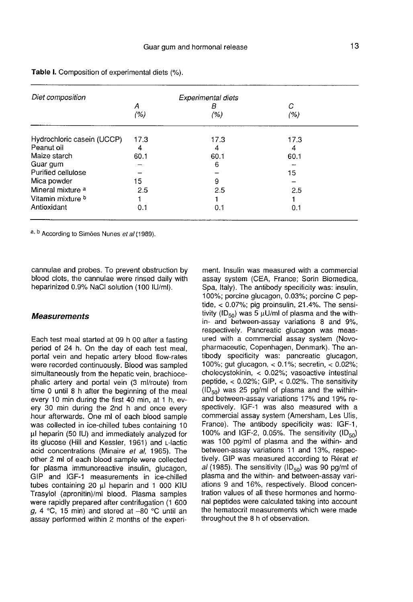| Diet composition             |      | Experimental diets |      |  |
|------------------------------|------|--------------------|------|--|
|                              | А    | В                  | С    |  |
|                              | (% ) | (%)                | (% ) |  |
| Hydrochloric casein (UCCP)   | 17.3 | 17.3               | 17.3 |  |
| Peanut oil                   | 4    | 4                  | 4    |  |
| Maize starch                 | 60.1 | 60.1               | 60.1 |  |
| Guar gum                     |      | 6                  |      |  |
| Purified cellulose           |      |                    | 15   |  |
| Mica powder                  | 15   | 9                  |      |  |
| Mineral mixture <sup>a</sup> | 2.5  | 2.5                | 2.5  |  |
| Vitamin mixture <sup>b</sup> |      |                    |      |  |
| Antioxidant                  | 0.1  | 0.1                | 0.1  |  |
|                              |      |                    |      |  |

Table I. Composition of experimental diets (%).

a, b According to Simões Nunes et al (1989).

cannulae and probes. To prevent obstruction by blood clots, the cannulae were rinsed daily with heparinized 0.9% NaCl solution (100 IU/ml).

#### **Measurements**

Each test meal started at 09 h 00 after a fasting period of 24 h. On the day of each test meal, portal vein and hepatic artery blood flow-rates were recorded continuously. Blood was sampled simultaneously from the hepatic vein, brachiocephalic artery and portal vein (3 ml/route) from time 0 until 8 h after the beginning of the meal every 10 min during the first 40 min, at 1 h, every 30 min during the 2nd h and once every<br>hour afterwards. One ml of each blood sample was collected in ice-chilled tubes containing 10 pl heparin (50 IU) and immediately analyzed for its glucose (Hill and Kessler, 1961) and L-lactic acid concentrations (Minaire et al, 1965). The other 2 ml of each blood sample were collected for plasma immunoreactive insulin, glucagon, GIP and IGF-1 measurements in ice-chilled tubes containing 20 ul heparin and 1 000 KIU Trasylol (apronitin)/ml blood. Plasma samples were rapidly prepared after centrifugation (1 600 g, 4  $\degree$ C, 15 min) and stored at -80  $\degree$ C until an assay performed within 2 months of the experi-

ment. Insulin was measured with a commercial assay system (CEA, France; Sorin Biomedica, Spa, Italy). The antibody specificity was: insulin, 100%; porcine glucagon, 0.03%; porcine C peptide, < 0.07%; pig proinsulin, 21.4%. The sensitivity (ID<sub>50</sub>) was 5  $\mu$ U/ml of plasma and the within- and between-assay variations 8 and 9%, respectively. Pancreatic glucagon was measured with a commercial assay system (Novopharmaceutic, Copenhagen, Denmark). The antibody specificity was: pancreatic glucagon, 100%; gut glucagon, < 0.1%; secretin, < 0.02%; cholecystokinin, < 0.02%; vasoactive intestinal cnolecystokinin, < 0.02%; vasoactive intestinal<br>peptide, < 0.02%; GIP, < 0.02%. The sensitivity<br>(ID<sub>50</sub>) was 25 pg/ml of plasma and the within-<br>and hetween-assay variations 17% and 19% reand between-assay variations 17% and 19% respectively. IGF-1 was also measured with a commercial assay system (Amersham, Les Ulis, commercial assay system (Amersham, Les Olis, France). The antibody specificity was: IGF-1, 100% and IGF-2, 0.05%. The sensitivity (ID<sub>50</sub>) was 100 pg/ml of plasma and the within- and between-assay variations 11 and 13%, respecbetween-assay variations 11 and 13%, respectively. GIP was measured according to Rérat *et*<br>*al* (1985). The sensitivity (ID<sub>50</sub>) was 90 pg/ml of<br>plasma and the within- and between-assay variplasma and the within- and between-assay variations 9 and 16%, respectively. Blood concentration values of all these hormones and hormonal peptides were calculated taking into account the hematocrit measurements which were made throughout the 8 h of observation.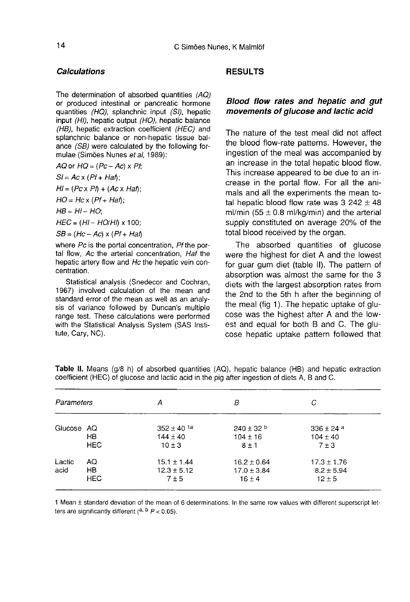#### **Calculations**

The determination of absorbed quantities (AO) or produced intestinal or pancreatic hormone quantities (HO), splanchnic input (SI), hepatic input (HI), hepatic output (HO), hepatic balance (HB), hepatic extraction coefficient (HEC) and splanchnic balance or non-hepatic tissue balance (SB) were calculated by the following formulae (Sim6es Nunes et al, 1989):

 $AQ$  or  $HQ = (Pc - Ac) \times Pt$ 

 $SI = Ac \times (Pf + Ha\hbar)$ ;

 $H = (Pc \times Pf) + (Ac \times Haf)$ ;

 $HO = Hc \times (Pf + Ha\hat{h});$ 

 $HB = HI - HO;$ 

 $HEC = (HI - HO/H) \times 100$ ;

 $SB = (Hc - Ac) \times (Pf + Ha\hbar)$ 

where Pc is the portal concentration. Pf the portal flow, Ac the arterial concentration, Haf the hepatic artery flow and Hc the hepatic vein concentration.

Statistical analysis (Snedecor and Cochran, 1967) involved calculation of the mean and standard error of the mean as well as an analysis of variance followed by Duncan's multiple range test. These calculations were performed with the Statistical Analysis System (SAS Institute, Cary, NC).

### RESULTS

# Blood flow rates and hepatic and gut movements of glucose and lactic acid

The nature of the test meal did not affect the blood flow-rate patterns. However, the ingestion of the meal was accompanied by an increase in the total hepatic blood flow. This increase appeared to be due to an increase in the portal flow. For all the animals and all the experiments the mean total hepatic blood flow rate was  $3\,242 \pm 48$ ml/min (55  $\pm$  0.8 ml/kg/min) and the arterial supply constituted on average 20% of the total blood received by the organ.

The absorbed quantities of glucose were the highest for diet A and the lowest for guar gum diet (table II). The pattern of absorption was almost the same for the 3 diets with the largest absorption rates from the 2nd to the 5th h after the beginning of the meal (fig 1). The hepatic uptake of glu-<br>cose was the highest after A and the lowest and equal for both B and C. The glu cose hepatic uptake pattern followed that

| Parameters     |                        | А                                                        | В                                                | С                                               |  |
|----------------|------------------------|----------------------------------------------------------|--------------------------------------------------|-------------------------------------------------|--|
| Glucose AQ     | HB<br><b>HEC</b>       | $352 \pm 40$ <sup>1a</sup><br>$144 \pm 40$<br>$10 \pm 3$ | $240 \pm 32$ b<br>$104 \pm 16$<br>$8 \pm 1$      | $336 \pm 24a$<br>$104 \pm 40$<br>$7 \pm 3$      |  |
| Lactic<br>acid | AQ<br>HB<br><b>HEC</b> | $15.1 \pm 1.44$<br>$12.3 \pm 5.12$<br>$7 \pm 5$          | $16.2 \pm 0.64$<br>$17.0 \pm 3.84$<br>$16 \pm 4$ | $17.3 \pm 1.76$<br>$8.2 \pm 5.94$<br>$12 \pm 5$ |  |

Table II. Means (g/8 h) of absorbed quantities (AQ), hepatic balance (HB) and hepatic extraction coefficient (HEC) of glucose and lactic acid in the pig after ingestion of diets A, B and C.

1 Mean ± standard deviation of the mean of 6 determinations. In the same row values with different superscript letters are significantly different (a, b  $P < 0.05$ ).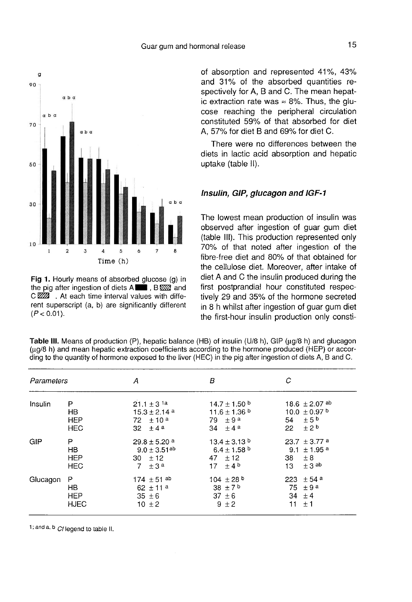

Fig 1. Hourly means of absorbed glucose (g) in the pig after ingestion of diets A **19 AM** and C 222 . At each time interval values with different superscript (a, b) are significantly different  $(P < 0.01)$ .

of absorption and represented 41%, 43% and 31% of the absorbed quantities respectively for A, B and C. The mean hepatic extraction rate was  $\approx$  8%. Thus, the glucose reaching the peripheral circulation constituted 59% of that absorbed for diet A, 57% for diet B and 69% for diet C.

There were no differences between the diets in lactic acid absorption and hepatic uptake (table II).

#### Insulin, GIP, glucagon and IGF-1

The lowest mean production of insulin was observed after ingestion of guar gum diet (table 111). This production represented only 70% of that noted after ingestion of the fibre-free diet and 80% of that obtained for the cellulose diet. Moreover, after intake of diet A and C the insulin produced during the first postprandial hour constituted respectively 29 and 35% of the hormone secreted in 8 h whilst after ingestion of guar gum diet the first-hour insulin production only consti-

|            |                                      |                                                                                             |                                                                                              | $\frac{1}{2}$ and the damnit of Homons oxposed to the first (HEO) in the pig alternigeously or divident, B and S. |
|------------|--------------------------------------|---------------------------------------------------------------------------------------------|----------------------------------------------------------------------------------------------|-------------------------------------------------------------------------------------------------------------------|
| Parameters |                                      | А                                                                                           | В                                                                                            | С                                                                                                                 |
| Insulin    | P<br>HB.<br>HEP<br><b>HEC</b>        | $21.1 \pm 3$ <sup>1a</sup><br>$15.3 \pm 2.14$ <sup>a</sup><br>$72 + 10^{a}$<br>32 $\pm$ 4 a | $14.7 \pm 1.50$ b<br>$11.6 \pm 1.36$ b<br>79 $\pm$ 9 <sup>a</sup><br>34 $\pm$ 4 <sup>a</sup> | $18.6 + 2.07$ ab<br>10.0 $\pm$ 0.97 b<br>± 5 <sup>b</sup><br>54<br>$+2b$<br>22                                    |
| GIP        | P<br>HB.<br><b>HEP</b><br>HEC.       | $29.8 \pm 5.20$ <sup>a</sup><br>$9.0 \pm 3.51$ <sup>ab</sup><br>30 $\pm$ 12<br>7<br>$+3a$   | $13.4 \pm 3.13$ b<br>$6.4 \pm 1.58$ b<br>47 $\pm$ 12<br>$+4b$<br>17 <sup>7</sup>             | $23.7 \pm 3.77$ a<br>9.1 $\pm$ 1.95 a<br>± 8<br>38<br>$\pm$ 3 ab<br>13                                            |
| Glucagon   | Р<br>HB<br><b>HEP</b><br><b>HJEC</b> | $174 \pm 51$ ab<br>$62 + 11a$<br>$35 \pm 6$<br>$10 + 2$                                     | $104 \pm 28$ b<br>38 $\pm$ 7 <sup>b</sup><br>$37 \pm 6$<br>$9 + 2$                           | $± 54$ <sup>a</sup><br>223<br>75<br>$\pm$ 9 a<br>34<br>±4<br>11<br>±1                                             |

Table III. Means of production (P), hepatic balance (HB) of insulin (U/8 h), GIP (µg/8 h) and glucagon (µq/8 h) and mean hepatic extraction coefficients according to the hormone produced (HEP) or according to the quantity of hormone exposed to the liver (HEC) in the pig after ingestion of diets A, B and C.

1; and a, b Cf legend to table II.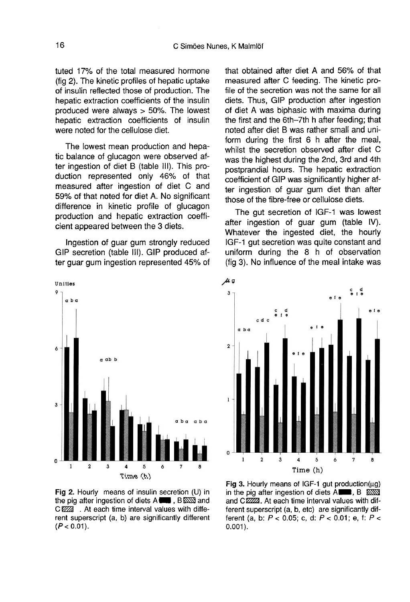tuted 17% of the total measured hormone (fig 2). The kinetic profiles of hepatic uptake of insulin reflected those of production. The hepatic extraction coefficients of the insulin produced were always > 50%. The lowest hepatic extraction coefficients of insulin were noted for the cellulose diet.

The lowest mean production and hepatic balance of glucagon were observed after ingestion of diet B (table III). This production represented only 46% of that measured after ingestion of diet C and 59% of that noted for diet A. No significant difference in kinetic profile of glucagon production and hepatic extraction coefficient appeared between the 3 diets.

Ingestion of guar gum strongly reduced GIP secretion (table III). GIP produced after guar gum ingestion represented 45% of



Fig 2. Hourly means of insulin secretion (U) in the pig after ingestion of diets A **WA HORES** and CIZZZ . At each time interval values with different superscript (a, b) are significantly different  $(P < 0.01)$ .

that obtained after diet A and 56% of that measured after C feeding. The kinetic profile of the secretion was not the same for all diets. Thus, GIP production after ingestion of diet A was biphasic with maxima during the first and the 6th-7th h after feeding; that noted after diet B was rather small and uniform during the first 6 h after the meal, whilst the secretion observed after diet C was the highest during the 2nd, 3rd and 4th postprandial hours. The hepatic extraction coefficient of GIP was significantly higher after ingestion of guar gum diet than after those of the fibre-free or cellulose diets.

The gut secretion of IGF-1 was lowest after ingestion of guar gum (table LV). Whatever the ingested diet, the hourly IGF-1 gut secretion was quite constant and uniform during the 8 h of observation (fig 3). No influence of the meal intake was



Fig 3. Hourly means of IGF-1 gut production( $\mu$ g) in the pig after ingestion of diets  $A \blacksquare$ ,  $B \cong B$ and CZZZZ. At each time interval values with different superscript (a, b, etc) are significantly different (a, b:  $P < 0.05$ ; c, d:  $P < 0.01$ ; e, f:  $P <$  $0.001$ ).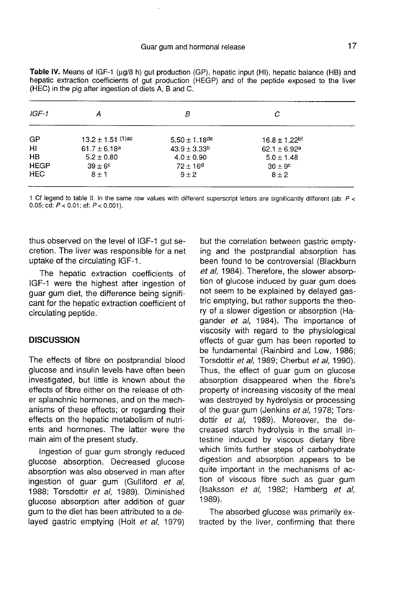| Α                     | В                   | C                             |  |
|-----------------------|---------------------|-------------------------------|--|
| $13.2 \pm 1.51$ (1)ac | $5.50 \pm 1.18$ de  | $16.8 \pm 1.22$ <sup>bf</sup> |  |
| $61.7 \pm 6.18^a$     | $43.9 \pm 3.33^{b}$ | $62.1 \pm 6.92^a$             |  |
| $5.2 \pm 0.80$        | $4.0 \pm 0.90$      | $5.0 \pm 1.48$                |  |
| $39 \pm 6^{\circ}$    | $72 \pm 16^{\circ}$ | $30 \pm 9^{\circ}$            |  |
| $8 \pm 1$             | $9 \pm 2$           | $8 \pm 2$                     |  |
|                       |                     |                               |  |

Table IV. Means of IGF-1 (ug/8 h) gut production (GP), hepatic input (HI), hepatic balance (HB) and hepatic extraction coefficients of gut production (HEGP) and of the peptide exposed to the liver (HEC) in the pig after ingestion of diets A. B and C.

1 Cf legend to table II. In the same row values with different superscript letters are significantly different (ab:  $P <$ 0.05; cd:  $P < 0.01$ ; ef:  $P < 0.001$ ).

thus observed on the level of IGF-1 gut secretion. The liver was responsible for a net uptake of the circulating IGF-1.

The hepatic extraction coefficients of IGF-1 were the highest after ingestion of guar gum diet, the difference being significant for the hepatic extraction coefficient of circulating peptide.

## **DISCUSSION**

The effects of fibre on postprandial blood glucose and insulin levels have often been investigated, but little is known about the effects of fibre either on the release of other splanchnic hormones, and on the mechanisms of these effects; or regarding their effects on the hepatic metabolism of nutrients and hormones. The latter were the main aim of the present study.

Ingestion of guar gum strongly reduced glucose absorption. Decreased glucose absorption was also observed in man after ingestion of guar gum (Gulliford et al, 1988; Torsdottir et al, 1989). Diminished glucose absorption after addition of guar gum to the diet has been attributed to a delayed gastric emptying (Holt et al, 1979)

but the correlation between gastric emptying and the postprandial absorption has been found to be controversial (Blackburn et al, 1984). Therefore, the slower absorption of glucose induced by guar gum does not seem to be explained by delayed gastric emptying, but rather supports the theory of a slower digestion or absorption (Hagander et al, 1984). The importance of viscosity with regard to the physiological effects of guar gum has been reported to be fundamental (Rainbird and Low, 1986; Torsdottir et al, 1989; Cherbut et al, 1990). Thus, the effect of guar gum on glucose absorption disappeared when the fibre's property of increasing viscosity of the meal was destroyed by hydrolysis or processing of the guar gum (Jenkins et al, 1978; Torsdottir et al, 1989). Moreover, the decreased starch hydrolysis in the small intestine induced by viscous dietary fibre which limits further steps of carbohydrate digestion and absorption appears to be quite important in the mechanisms of action of viscous fibre such as guar gum (isaksson et al, 1982; Hamberg et al, 1989).

The absorbed glucose was primarily extracted by the liver, confirming that there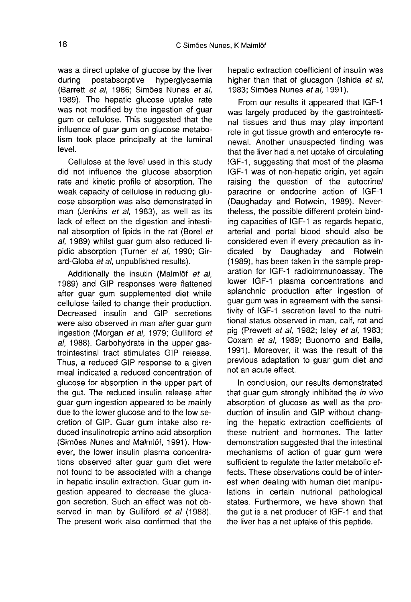was a direct uptake of glucose by the liver<br>during postabsorptive hyperglycaemia hyperalvcaemia (Barrett et al, 1986; Sim6es Nunes et al, 1989). The hepatic glucose uptake rate was not modified by the ingestion of guar gum or cellulose. This suggested that the influence of guar gum on glucose metabolism took place principally at the luminal level.

Cellulose at the level used in this study did not influence the glucose absorption rate and kinetic profile of absorption. The weak capacity of cellulose in reducing glu cose absorption was also demonstrated in man (Jenkins et al, 1983), as well as its lack of effect on the digestion and intestinal absorption of lipids in the rat (Borel et al, 1989) whilst guar gum also reduced lipidic absorption (Turner et al, 1990; Girard-Globa et al, unpublished results).

Additionally the insulin (Malmlöf et al, 1989) and GIP responses were flattened after guar gum supplemented diet while cellulose failed to change their production. Decreased insulin and GIP secretions were also observed in man after guar gum ingestion (Morgan et al, 1979; Gulliford et al, 1988). Carbohydrate in the upper gastrointestinal tract stimulates GIP release. Thus, a reduced GIP response to a given meal indicated a reduced concentration of glucose for absorption in the upper part of the gut. The reduced insulin release after guar gum ingestion appeared to be mainly due to the lower glucose and to the low secretion of GIP. Guar gum intake also reduced insulinotropic amino acid absorption (Simões Nunes and Malmlöf, 1991). However, the lower insulin plasma concentrations observed after guar gum diet were not found to be associated with a change in hepatic insulin extraction. Guar gum ingestion appeared to decrease the glucagon secretion. Such an effect was not observed in man by Gulliford et al (1988). The present work also confirmed that the

hepatic extraction coefficient of insulin was higher than that of glucagon (Ishida et al, 1983; Simões Nunes et al. 1991).

From our results it appeared that IGF-1 was largely produced by the gastrointestinal tissues and thus may play important role in gut tissue growth and enterocyte renewal. Another unsuspected finding was that the liver had a net uptake of circulating IGF-1, suggesting that most of the plasma IGF-1 was of non-hepatic origin, yet again raising the question of the autocrine/ paracrine or endocrine action of IGF-1 (Daughaday and Rotwein, 1989). Nevertheless, the possible different protein binding capacities of IGF-1 as regards hepatic, arterial and portal blood should also be considered even if every precaution as indicated by Daughaday and Rotwein (1989), has been taken in the sample preparation for IGF-1 radioimmunoassay. The lower IGF-1 plasma concentrations and splanchnic production after ingestion of guar gum was in agreement with the sensitivity of IGF-1 secretion level to the nutritional status observed in man, calf, rat and pig (Prewett et al, 1982; Isley et al, 1983; Coxam et al, 1989; Buonomo and Baile, 1991). Moreover, it was the result of the previous adaptation to guar gum diet and not an acute effect.

In conclusion, our results demonstrated that guar gum strongly inhibited the in vivo absorption of glucose as well as the production of insulin and GIP without changing the hepatic extraction coefficients of these nutrient and hormones. The latter demonstration suggested that the intestinal mechanisms of action of guar gum were sufficient to regulate the latter metabolic effects. These observations could be of interest when dealing with human diet manipulations in certain nutrional pathological states. Furthermore, we have shown that the gut is a net producer of IGF-1 and that the liver has a net uptake of this peptide.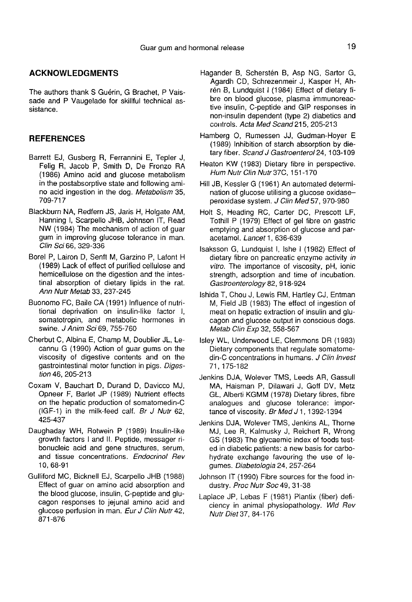# ACKNOWLEDGMENTS

The authors thank S Guérin, G Brachet, P Vaissade and P Vaugelade for skillful technical assistance.

#### **REFERENCES**

- Barrett EJ, Gusberg R, Ferrannini E, Tepler J, Felig R, Jacob P, Smith D, De Fronzo RA (1986) Amino acid and glucose metabolism in the postabsorptive state and following amino acid ingestion in the dog. Metabolism 35, 709-717
- Blackburn NA, Redfern JS, Jaris H, Holgate AM, Hanning I, Scarpello JHB, Johnson IT, Read NW (1984) The mechanism of action of guar gum in improving glucose tolerance in man. Clin Sci 66, 329-336
- Bore] P, Lairon D, Senft M, Garzino P, Lafont H (1989) Lack of effect of purified cellulose and hemicellulose on the digestion and the intestinal absorption of dietary lipids in the rat. Ann Nutr Metab 33, 237-245
- Buonomo FC, Baile CA (1991) Influence of nutritional deprivation on insulin-like factor I, somatotropin, and metabolic hormones in swine. J Anim Sci 69, 755-760
- Cherbut C, Albina E, Champ M, Doublier JL, Lecannu G (1990) Action of guar gums on the viscosity of digestive contents and on the gastrointestinal motor function in pigs. Digestion 46, 205-213
- Coxam V, Bauchart D, Durand D, Davicco MJ, Opneer F, Barlet JP (1989) Nutrient effects on the hepatic production of somatomedin-C (IGF-1) in the milk-feed calf. Br J Nutr 62, 425-437
- Daughaday WH, Rotwein P (1989) Insulin-like growth factors I and II. Peptide, messager ribonucleic acid and gene structures, serum, and tissue concentrations. Endocrinol Rev 10, 68-91
- Gulliford MC, Bicknell EJ, Scarpello JHB (1988) Effect of guar on amino acid absorption and the blood glucose, insulin, C-peptide and glucagon responses to jejunal amino acid and glucose perfusion in man. Eur J Clin Nutr 42, 871-876
- Hagander B, Scherstén B, Asp NG, Sartor G, Agardh CD, Schrezenmeir J, Kasper H, Ahrén B, Lundquist I (1984) Effect of dietary fibre on blood glucose, plasma immunoreactive insulin, C-peptide and GIP responses in non-insulin dependent (type 2) diabetics and controls. Acta Med Scand 215, 205-213
- Hamberg 0, Rumessen JJ, Gudman-Hoyer E (1989) Inhibition of starch absorption by dietary fiber. Scand J Gastroenterol 24, 103-109
- Heaton KW (1983) Dietary fibre in perspective. Hum Nutr Clin Nutr 37C, 151-170
- Hill JB, Kessler G (1961) An automated determination of glucose utilising a glucose oxidaseperoxidase system. J Clin Med 57, 970-980
- Holt S, Heading RC, Carter DC, Prescott LF, Tothill P (1979) Effect of gel fibre on gastric emptying and absorption of glucose and paracetamol. Lancet 1, 636-639
- Isaksson G, Lundquist I, Ishe I (1982) Effect of dietary fibre on pancreatic enzyme activity in vitro. The importance of viscosity, pH, ionic strength, adsorption and time of incubation. Gastroenterology 82, 918-924
- lshida T, Chou J, Lewis RM, Hartley CJ, Entman M, Field JB (1983) The effect of ingestion of meat on hepatic extraction of insulin and glucagon and glucose output in conscious dogs. Metab Clin Exp 32, 558-567
- Isley WL, Underwood LE, Clemmons DR (1983) Dietary components that regulate somatomedin-C concentrations in humans. J Clin Invest 71, 175-182
- Jenkins DJA, Wolever TMS, Leeds AR, Gassull MA, Haisman P, Dilawari J, Goff DV, Metz GL, Alberti KGMM (1978) Dietary fibres, fibre analogues and glucose tolerance: impor tance of viscosity. Br Med J 1, 1392-1394
- Jenkins DJA, Wolever TMS, Jenkins AL, Thorne MJ, Lee R, Kalmusky J, Reichert R, Wrong GS (1983) The glycaemic index of foods tested in diabetic patients: a new basis for carbohydrate exchange favouring the use of legumes. Diabetologia 24, 257-264
- Johnson IT (1990) Fibre sources for the food industry. Proc Nutr Soc 49, 31-38
- Laplace JP, Lebas F (1981) Plantix (fiber) deficiency in animal physiopathology. Wld Rev Nutr Diet 37, 84-176